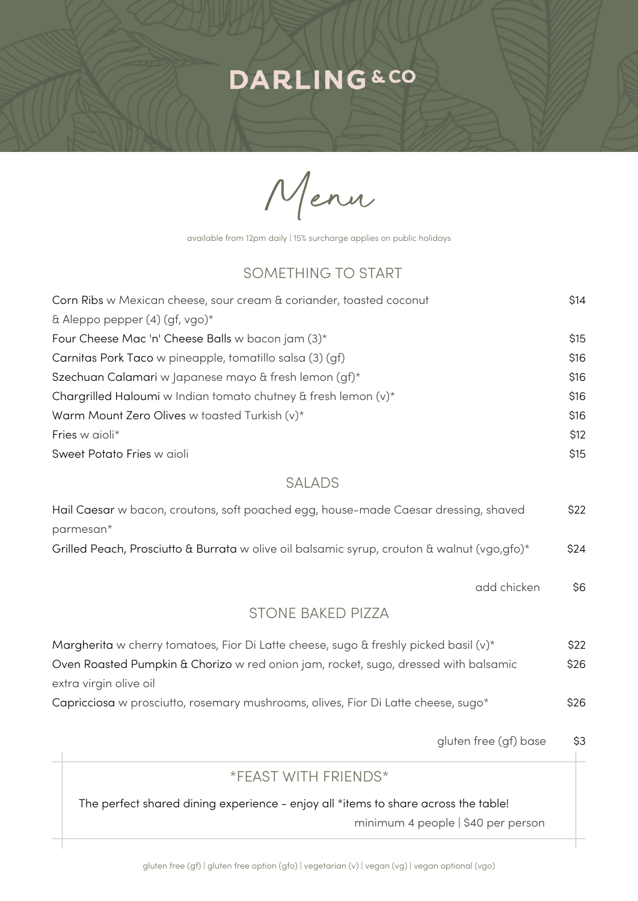# **DARLING&CO**

Menu

available from 12pm daily | 15% surcharge applies on public holidays

### SOMETHING TO START

| Corn Ribs w Mexican cheese, sour cream & coriander, toasted coconut | \$14 |
|---------------------------------------------------------------------|------|
| & Aleppo pepper $(4)$ (gf, vgo) <sup>*</sup>                        |      |
| Four Cheese Mac 'n' Cheese Balls w bacon jam (3)*                   | \$15 |
| Carnitas Pork Taco w pineapple, tomatillo salsa (3) (gf)            | \$16 |
| Szechuan Calamari w Japanese mayo & fresh lemon (gf)*               | \$16 |
| Chargrilled Haloumi w Indian tomato chutney & fresh lemon (v)*      | \$16 |
| Warm Mount Zero Olives w toasted Turkish $(v)^*$                    | \$16 |
| Fries w aioli*                                                      | \$12 |
| Sweet Potato Fries w aioli                                          | \$15 |

#### SALADS

| Hail Caesar w bacon, croutons, soft poached egg, house-made Caesar dressing, shaved         | \$22 |
|---------------------------------------------------------------------------------------------|------|
| $parameters*$                                                                               |      |
| Grilled Peach, Prosciutto & Burrata w olive oil balsamic syrup, crouton & walnut (vgo,gfo)* | \$24 |

\$6 add chicken

#### STONE BAKED PIZZA

| Margherita w cherry tomatoes, Fior Di Latte cheese, sugo & freshly picked basil $(v)^*$ | \$22 |
|-----------------------------------------------------------------------------------------|------|
| Oven Roasted Pumpkin & Chorizo w red onion jam, rocket, sugo, dressed with balsamic     | \$26 |
| extra virgin olive oil                                                                  |      |
| Capricciosa w prosciutto, rosemary mushrooms, olives, Fior Di Latte cheese, sugo*       | \$26 |

\$3 gluten free (gf) base

#### \*FEAST WITH FRIENDS\*

The perfect shared dining experience - enjoy all \*items to share across the table!

minimum 4 people | \$40 per person